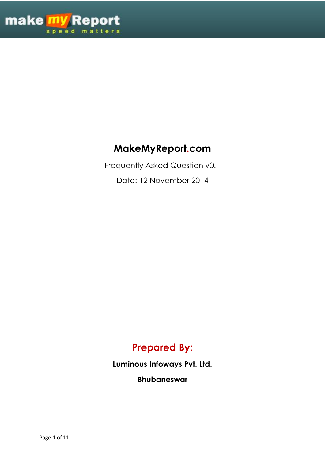

# **MakeMyReport.com**

Frequently Asked Question v0.1

Date: 12 November 2014

# **Prepared By:**

**Luminous Infoways Pvt. Ltd.**

**Bhubaneswar**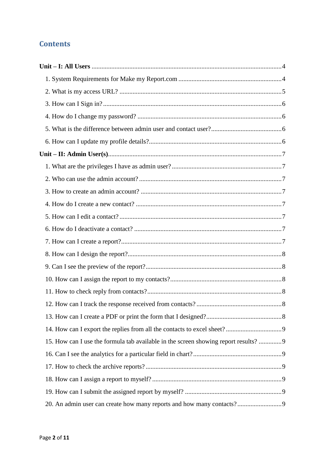## **Contents**

| 15. How can I use the formula tab available in the screen showing report results? 9 |  |
|-------------------------------------------------------------------------------------|--|
|                                                                                     |  |
|                                                                                     |  |
|                                                                                     |  |
|                                                                                     |  |
|                                                                                     |  |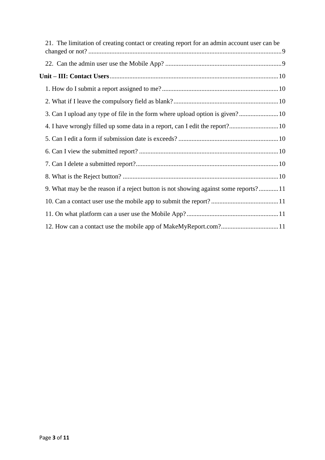| 21. The limitation of creating contact or creating report for an admin account user can be |  |
|--------------------------------------------------------------------------------------------|--|
|                                                                                            |  |
|                                                                                            |  |
|                                                                                            |  |
|                                                                                            |  |
|                                                                                            |  |
|                                                                                            |  |
|                                                                                            |  |
|                                                                                            |  |
|                                                                                            |  |
|                                                                                            |  |
| 9. What may be the reason if a reject button is not showing against some reports?11        |  |
|                                                                                            |  |
|                                                                                            |  |
| 12. How can a contact use the mobile app of MakeMyReport.com?11                            |  |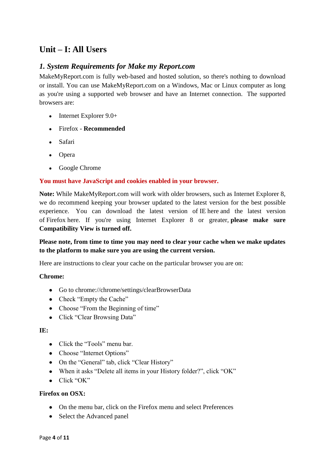## <span id="page-3-0"></span>**Unit – I: All Users**

### <span id="page-3-1"></span>*1. System Requirements for Make my Report.com*

MakeMyReport.com is fully web-based and hosted solution, so there's nothing to download or install. You can use MakeMyReport.com on a Windows, Mac or Linux computer as long as you're using a supported web browser and have an Internet connection. The supported browsers are:

- Internet Explorer 9.0+
- Firefox **Recommended**
- Safari
- Opera
- Google Chrome

#### **You must have JavaScript and cookies enabled in your browser.**

**Note:** While MakeMyReport.com will work with older browsers, such as Internet Explorer 8, we do recommend keeping your browser updated to the latest version for the best possible experience. You can download the latest version of IE here and the latest version of Firefox here. If you're using Internet Explorer 8 or greater, **please make sure Compatibility View is turned off.**

#### **Please note, from time to time you may need to clear your cache when we make updates to the platform to make sure you are using the current version.**

Here are instructions to clear your cache on the particular browser you are on:

#### **Chrome:**

- Go to chrome://chrome/settings/clearBrowserData
- Check "Empty the Cache"
- Choose "From the Beginning of time"
- Click "Clear Browsing Data"

#### **IE:**

- Click the "Tools" menu bar.
- Choose "Internet Options"
- On the "General" tab, click "Clear History"
- When it asks "Delete all items in your History folder?", click "OK"
- $\bullet$  Click "OK"

#### **Firefox on OSX:**

- On the menu bar, click on the Firefox menu and select Preferences
- Select the Advanced panel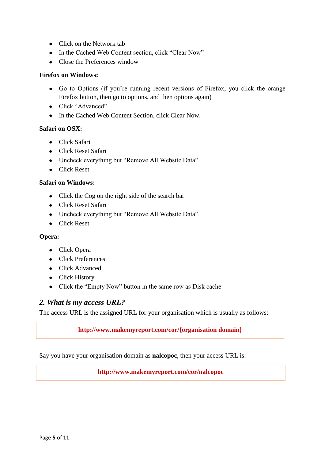- Click on the Network tab
- In the Cached Web Content section, click "Clear Now"
- Close the Preferences window

#### **Firefox on Windows:**

- Go to Options (if you're running recent versions of Firefox, you click the orange Firefox button, then go to options, and then options again)
- Click "Advanced"
- In the Cached Web Content Section, click Clear Now.

#### **Safari on OSX:**

- **•** Click Safari
- Click Reset Safari
- Uncheck everything but "Remove All Website Data"
- Click Reset

#### **Safari on Windows:**

- Click the Cog on the right side of the search bar
- Click Reset Safari
- Uncheck everything but "Remove All Website Data"
- Click Reset

#### **Opera:**

- Click Opera
- Click Preferences
- Click Advanced
- Click History
- Click the "Empty Now" button in the same row as Disk cache

#### <span id="page-4-0"></span>*2. What is my access URL?*

The access URL is the assigned URL for your organisation which is usually as follows:

#### **http://www.makemyreport.com/cor/{organisation domain}**

Say you have your organisation domain as **nalcopoc**, then your access URL is:

**http://www.makemyreport.com/cor/nalcopoc**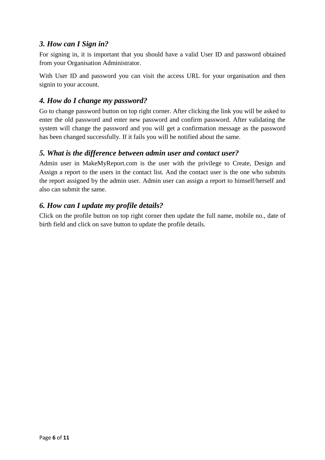### <span id="page-5-0"></span>*3. How can I Sign in?*

For signing in, it is important that you should have a valid User ID and password obtained from your Organisation Administrator.

With User ID and password you can visit the access URL for your organisation and then signin to your account.

### <span id="page-5-1"></span>*4. How do I change my password?*

Go to change password button on top right corner. After clicking the link you will be asked to enter the old password and enter new password and confirm password. After validating the system will change the password and you will get a confirmation message as the password has been changed successfully. If it fails you will be notified about the same.

#### <span id="page-5-2"></span>*5. What is the difference between admin user and contact user?*

Admin user in MakeMyReport.com is the user with the privilege to Create, Design and Assign a report to the users in the contact list. And the contact user is the one who submits the report assigned by the admin user. Admin user can assign a report to himself/herself and also can submit the same.

### <span id="page-5-3"></span>*6. How can I update my profile details?*

Click on the profile button on top right corner then update the full name, mobile no., date of birth field and click on save button to update the profile details.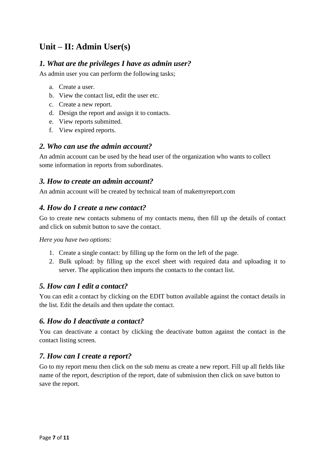## <span id="page-6-0"></span>**Unit – II: Admin User(s)**

#### <span id="page-6-1"></span>*1. What are the privileges I have as admin user?*

As admin user you can perform the following tasks;

- a. Create a user.
- b. View the contact list, edit the user etc.
- c. Create a new report.
- d. Design the report and assign it to contacts.
- e. View reports submitted.
- f. View expired reports.

#### <span id="page-6-2"></span>*2. Who can use the admin account?*

An admin account can be used by the head user of the organization who wants to collect some information in reports from subordinates.

#### <span id="page-6-3"></span>*3. How to create an admin account?*

An admin account will be created by technical team of makemyreport.com

### <span id="page-6-4"></span>*4. How do I create a new contact?*

Go to create new contacts submenu of my contacts menu, then fill up the details of contact and click on submit button to save the contact.

*Here you have two options:*

- 1. Create a single contact: by filling up the form on the left of the page.
- 2. Bulk upload: by filling up the excel sheet with required data and uploading it to server. The application then imports the contacts to the contact list.

#### <span id="page-6-5"></span>*5. How can I edit a contact?*

You can edit a contact by clicking on the EDIT button available against the contact details in the list. Edit the details and then update the contact.

#### <span id="page-6-6"></span>*6. How do I deactivate a contact?*

You can deactivate a contact by clicking the deactivate button against the contact in the contact listing screen.

### <span id="page-6-7"></span>*7. How can I create a report?*

Go to my report menu then click on the sub menu as create a new report. Fill up all fields like name of the report, description of the report, date of submission then click on save button to save the report.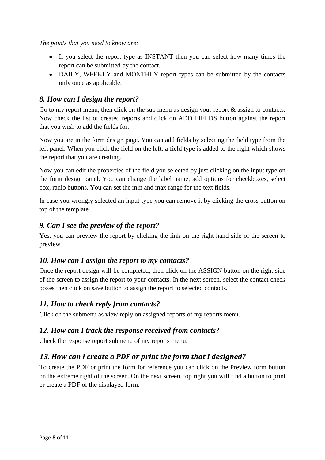*The points that you need to know are:*

- If you select the report type as INSTANT then you can select how many times the report can be submitted by the contact.
- DAILY, WEEKLY and MONTHLY report types can be submitted by the contacts only once as applicable.

### <span id="page-7-0"></span>*8. How can I design the report?*

Go to my report menu, then click on the sub menu as design your report  $\&$  assign to contacts. Now check the list of created reports and click on ADD FIELDS button against the report that you wish to add the fields for.

Now you are in the form design page. You can add fields by selecting the field type from the left panel. When you click the field on the left, a field type is added to the right which shows the report that you are creating.

Now you can edit the properties of the field you selected by just clicking on the input type on the form design panel. You can change the label name, add options for checkboxes, select box, radio buttons. You can set the min and max range for the text fields.

In case you wrongly selected an input type you can remove it by clicking the cross button on top of the template.

### <span id="page-7-1"></span>*9. Can I see the preview of the report?*

Yes, you can preview the report by clicking the link on the right hand side of the screen to preview.

### <span id="page-7-2"></span>*10. How can I assign the report to my contacts?*

Once the report design will be completed, then click on the ASSIGN button on the right side of the screen to assign the report to your contacts. In the next screen, select the contact check boxes then click on save button to assign the report to selected contacts.

## <span id="page-7-3"></span>*11. How to check reply from contacts?*

Click on the submenu as view reply on assigned reports of my reports menu.

### <span id="page-7-4"></span>*12. How can I track the response received from contacts?*

Check the response report submenu of my reports menu.

## <span id="page-7-5"></span>*13. How can I create a PDF or print the form that I designed?*

To create the PDF or print the form for reference you can click on the Preview form button on the extreme right of the screen. On the next screen, top right you will find a button to print or create a PDF of the displayed form.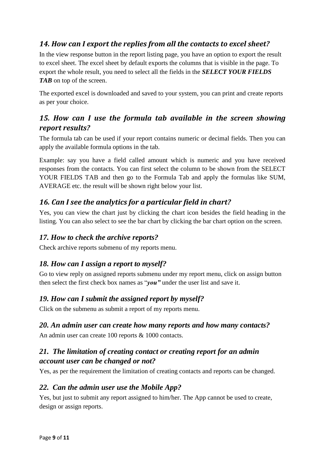## <span id="page-8-0"></span>*14. How can I export the replies from all the contacts to excel sheet?*

In the view response button in the report listing page, you have an option to export the result to excel sheet. The excel sheet by default exports the columns that is visible in the page. To export the whole result, you need to select all the fields in the *SELECT YOUR FIELDS TAB* on top of the screen.

The exported excel is downloaded and saved to your system, you can print and create reports as per your choice.

## <span id="page-8-1"></span>*15. How can I use the formula tab available in the screen showing report results?*

The formula tab can be used if your report contains numeric or decimal fields. Then you can apply the available formula options in the tab.

Example: say you have a field called amount which is numeric and you have received responses from the contacts. You can first select the column to be shown from the SELECT YOUR FIELDS TAB and then go to the Formula Tab and apply the formulas like SUM, AVERAGE etc. the result will be shown right below your list.

## <span id="page-8-2"></span>*16. Can I see the analytics for a particular field in chart?*

Yes, you can view the chart just by clicking the chart icon besides the field heading in the listing. You can also select to see the bar chart by clicking the bar chart option on the screen.

### <span id="page-8-3"></span>*17. How to check the archive reports?*

Check archive reports submenu of my reports menu.

## <span id="page-8-4"></span>*18. How can I assign a report to myself?*

Go to view reply on assigned reports submenu under my report menu, click on assign button then select the first check box names as "*you"* under the user list and save it.

### <span id="page-8-5"></span>*19. How can I submit the assigned report by myself?*

Click on the submenu as submit a report of my reports menu.

### <span id="page-8-6"></span>*20. An admin user can create how many reports and how many contacts?*

An admin user can create 100 reports & 1000 contacts.

## <span id="page-8-7"></span>*21. The limitation of creating contact or creating report for an admin account user can be changed or not?*

Yes, as per the requirement the limitation of creating contacts and reports can be changed.

### <span id="page-8-8"></span>*22. Can the admin user use the Mobile App?*

Yes, but just to submit any report assigned to him/her. The App cannot be used to create, design or assign reports.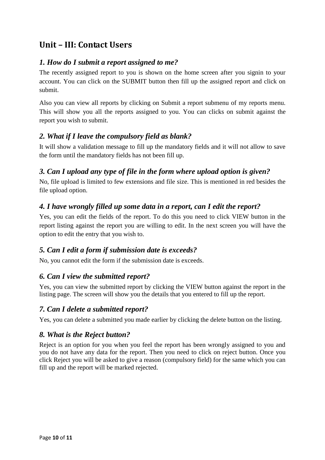## <span id="page-9-0"></span>**Unit – III: Contact Users**

### <span id="page-9-1"></span>*1. How do I submit a report assigned to me?*

The recently assigned report to you is shown on the home screen after you signin to your account. You can click on the SUBMIT button then fill up the assigned report and click on submit.

Also you can view all reports by clicking on Submit a report submenu of my reports menu. This will show you all the reports assigned to you. You can clicks on submit against the report you wish to submit.

#### <span id="page-9-2"></span>*2. What if I leave the compulsory field as blank?*

It will show a validation message to fill up the mandatory fields and it will not allow to save the form until the mandatory fields has not been fill up.

### <span id="page-9-3"></span>*3. Can I upload any type of file in the form where upload option is given?*

No, file upload is limited to few extensions and file size. This is mentioned in red besides the file upload option.

### <span id="page-9-4"></span>*4. I have wrongly filled up some data in a report, can I edit the report?*

Yes, you can edit the fields of the report. To do this you need to click VIEW button in the report listing against the report you are willing to edit. In the next screen you will have the option to edit the entry that you wish to.

### <span id="page-9-5"></span>*5. Can I edit a form if submission date is exceeds?*

No, you cannot edit the form if the submission date is exceeds.

### <span id="page-9-6"></span>*6. Can I view the submitted report?*

Yes, you can view the submitted report by clicking the VIEW button against the report in the listing page. The screen will show you the details that you entered to fill up the report.

### <span id="page-9-7"></span>*7. Can I delete a submitted report?*

Yes, you can delete a submitted you made earlier by clicking the delete button on the listing.

### <span id="page-9-8"></span>*8. What is the Reject button?*

Reject is an option for you when you feel the report has been wrongly assigned to you and you do not have any data for the report. Then you need to click on reject button. Once you click Reject you will be asked to give a reason (compulsory field) for the same which you can fill up and the report will be marked rejected.